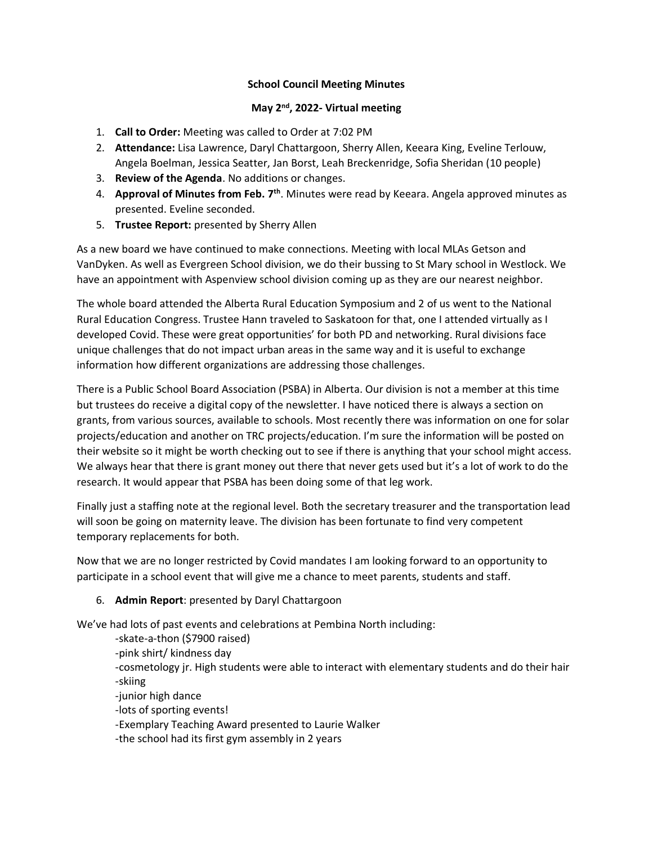## **School Council Meeting Minutes**

## **May 2nd, 2022- Virtual meeting**

- 1. **Call to Order:** Meeting was called to Order at 7:02 PM
- 2. **Attendance:** Lisa Lawrence, Daryl Chattargoon, Sherry Allen, Keeara King, Eveline Terlouw, Angela Boelman, Jessica Seatter, Jan Borst, Leah Breckenridge, Sofia Sheridan (10 people)
- 3. **Review of the Agenda**. No additions or changes.
- 4. **Approval of Minutes from Feb. 7th**. Minutes were read by Keeara. Angela approved minutes as presented. Eveline seconded.
- 5. **Trustee Report:** presented by Sherry Allen

As a new board we have continued to make connections. Meeting with local MLAs Getson and VanDyken. As well as Evergreen School division, we do their bussing to St Mary school in Westlock. We have an appointment with Aspenview school division coming up as they are our nearest neighbor.

The whole board attended the Alberta Rural Education Symposium and 2 of us went to the National Rural Education Congress. Trustee Hann traveled to Saskatoon for that, one I attended virtually as I developed Covid. These were great opportunities' for both PD and networking. Rural divisions face unique challenges that do not impact urban areas in the same way and it is useful to exchange information how different organizations are addressing those challenges.

There is a Public School Board Association (PSBA) in Alberta. Our division is not a member at this time but trustees do receive a digital copy of the newsletter. I have noticed there is always a section on grants, from various sources, available to schools. Most recently there was information on one for solar projects/education and another on TRC projects/education. I'm sure the information will be posted on their website so it might be worth checking out to see if there is anything that your school might access. We always hear that there is grant money out there that never gets used but it's a lot of work to do the research. It would appear that PSBA has been doing some of that leg work.

Finally just a staffing note at the regional level. Both the secretary treasurer and the transportation lead will soon be going on maternity leave. The division has been fortunate to find very competent temporary replacements for both.

Now that we are no longer restricted by Covid mandates I am looking forward to an opportunity to participate in a school event that will give me a chance to meet parents, students and staff.

6. **Admin Report**: presented by Daryl Chattargoon

We've had lots of past events and celebrations at Pembina North including:

-skate-a-thon (\$7900 raised)

-pink shirt/ kindness day

-cosmetology jr. High students were able to interact with elementary students and do their hair -skiing

-junior high dance

-lots of sporting events!

-Exemplary Teaching Award presented to Laurie Walker

-the school had its first gym assembly in 2 years